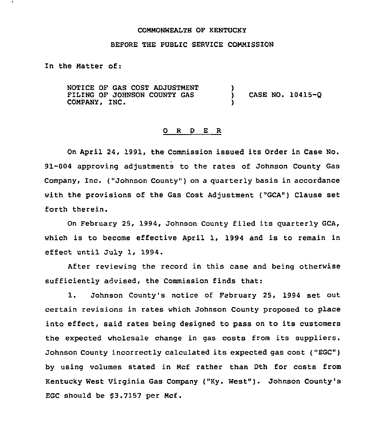## COMMONWEALTH OF KENTUCKY

### BEFORE THE PUBLIC SERVICE COMMISSION

In the Matter of:

NOTICE OF GAS COST ADJUSTMENT FILING OF JOHNSON COUNTY GAS COMPANY, INC. )<br>) ) CASE NO. 10415-0 )

#### 0 <sup>R</sup> <sup>D</sup> <sup>E</sup> <sup>R</sup>

On April 24, 1991, the Commission issued its Order in Case No. 91-004 approving adjustments to the rates of Johnson County Gas Company, Inc. ("Johnson County" ) on <sup>a</sup> quarterly basis in accordance with the provisions of the Gas Cost Adjustment ("GCA") Clause set forth therein.

On February 25, 1994, Johnson County filed its quarterly GCA, which is to become effective April 1, 1994 and is to remain in effect until July 1, 1994.

After reviewing the record in this case and being otherwise sufficiently advised, the Commission finds that:

1. Johnson County's notice of February 25, <sup>1994</sup> set out certain revisions in rates which Johnson County proposed to place into effect, said rates being designed to pass on to its customers the expected wholesale change in gas costs from its suppliers. Johnson County incorrectly calculated its expected gas cost ("EGC") by using volumes stated in Mcf rather than Dth for costs from Kentucky West Virginia Gas Company ("Ky. West" ). Johnson County'8 EGC should be  $$3.7157$  per Mcf.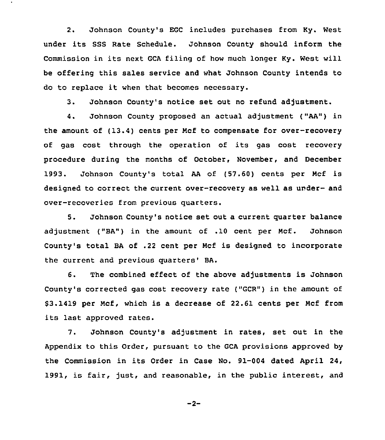2. Johnson County's EGC includes purchases from Ky. West under its SSS Rate Schedule. Johnson County should inform the Commission in its next GCA filing of how much longer Ky. West will be offering this sales service and what Johnson County intends to do to replace it when that becomes necessary.

3. Johnson County's notice set out no refund adjustment.

4. Johnson County proposed an actual adjustment ("AA") in the amount of (13.4) cents per Ncf to compensate for over-recovery of gas cost through the operation of its gas cost recovery procedure during the months of October, November, and December 1993. Johnson County's total AA of (57.60) cents per Ncf is designed to correct the current over-recovery as well as under- and over-recoveries from previous quarters.

5. Johnson County's notice set out a current quarter balance adjustment ("BA") in the amount of .10 cent per Ncf. Johnson County's total BA of .22 cent per Ncf is designed to incorporate the current and previous quarters' BA.

6. The combined effect of the above adjustments is Johnson County's corrected gas cost recovery rate ("GCR") in the amount of \$ 3.1419 per Ncf, which is a decrease of 22.61 cents per Ncf from its last approved rates.

7. Johnson County's adjustment in rates, set out in the Appendix to this Order, pursuant to the GCA provisions approved by the Commission in its Order in Case No. 91-004 dated April 24, 1991, is fair, just, and reasonable, in the public interest, and

 $-2-$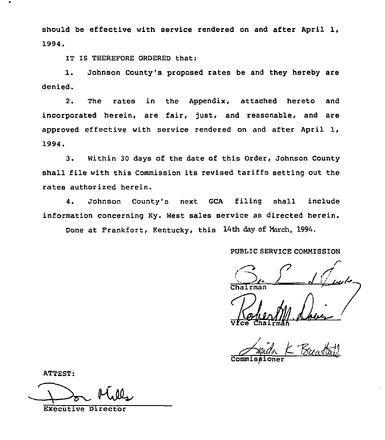should be effective with service rendered on and after April 1, 1994.

IT IS THEREFORE ORDERED that:

1. Johnson County's proposed rates be and they hereby are denied.

2. The rates in the Appendix, attached hereto and incorporated herein, are fair, just, and reasonable, and are approved effective with service rendered on and after April I, 1994.

3. Within 30 days of the date of this Order, Johnson County shall file with this Commission its revised tariffs setting out the rates authorized herein.

4. Johnson County's next GCA filing shall include information concerning Ky. West sales service as directed herein.

Done at Frankfort, Kentucky, this 14th day of March, 1994.

# PUBLIC SERVICE COMMISSION

 $\sum_{k}$   $\sum_{k}$ Chairman

'll/ Vfce Chairma  $\mathbb{A}_1$   $\mathbb{A}_2$ 

mida K Breastoff Commissi

ATTEST:

Executive Director